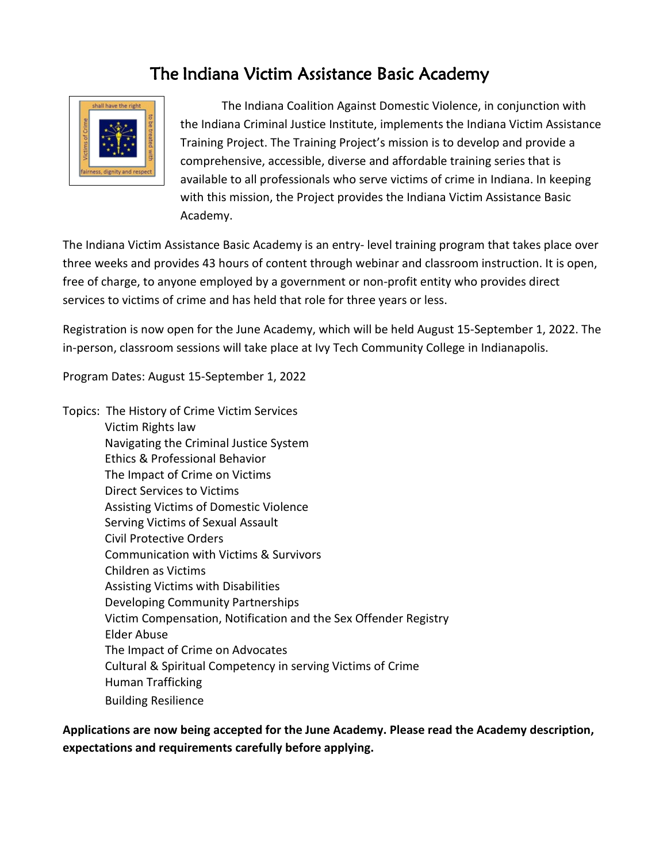# The Indiana Victim Assistance Basic Academy



 The Indiana Coalition Against Domestic Violence, in conjunction with the Indiana Criminal Justice Institute, implements the Indiana Victim Assistance Training Project. The Training Project's mission is to develop and provide a comprehensive, accessible, diverse and affordable training series that is available to all professionals who serve victims of crime in Indiana. In keeping with this mission, the Project provides the Indiana Victim Assistance Basic Academy.

The Indiana Victim Assistance Basic Academy is an entry- level training program that takes place over three weeks and provides 43 hours of content through webinar and classroom instruction. It is open, free of charge, to anyone employed by a government or non-profit entity who provides direct services to victims of crime and has held that role for three years or less.

Registration is now open for the June Academy, which will be held August 15-September 1, 2022. The in-person, classroom sessions will take place at Ivy Tech Community College in Indianapolis.

Program Dates: August 15-September 1, 2022

Topics: The History of Crime Victim Services Victim Rights law Navigating the Criminal Justice System Ethics & Professional Behavior The Impact of Crime on Victims Direct Services to Victims Assisting Victims of Domestic Violence Serving Victims of Sexual Assault Civil Protective Orders Communication with Victims & Survivors Children as Victims Assisting Victims with Disabilities Developing Community Partnerships Victim Compensation, Notification and the Sex Offender Registry Elder Abuse The Impact of Crime on Advocates Cultural & Spiritual Competency in serving Victims of Crime Human Trafficking Building Resilience

**Applications are now being accepted for the June Academy. Please read the Academy description, expectations and requirements carefully before applying.**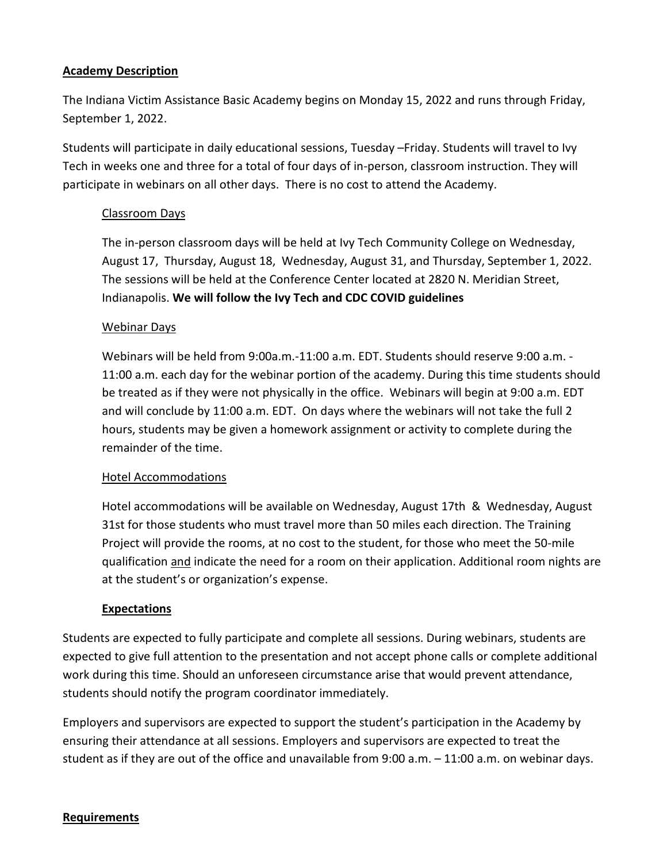## **Academy Description**

The Indiana Victim Assistance Basic Academy begins on Monday 15, 2022 and runs through Friday, September 1, 2022.

Students will participate in daily educational sessions, Tuesday –Friday. Students will travel to Ivy Tech in weeks one and three for a total of four days of in-person, classroom instruction. They will participate in webinars on all other days. There is no cost to attend the Academy.

### Classroom Days

The in-person classroom days will be held at Ivy Tech Community College on Wednesday, August 17, Thursday, August 18, Wednesday, August 31, and Thursday, September 1, 2022. The sessions will be held at the Conference Center located at 2820 N. Meridian Street, Indianapolis. **We will follow the Ivy Tech and CDC COVID guidelines** 

## Webinar Days

Webinars will be held from 9:00a.m.-11:00 a.m. EDT. Students should reserve 9:00 a.m. - 11:00 a.m. each day for the webinar portion of the academy. During this time students should be treated as if they were not physically in the office. Webinars will begin at 9:00 a.m. EDT and will conclude by 11:00 a.m. EDT. On days where the webinars will not take the full 2 hours, students may be given a homework assignment or activity to complete during the remainder of the time.

#### Hotel Accommodations

Hotel accommodations will be available on Wednesday, August 17th & Wednesday, August 31st for those students who must travel more than 50 miles each direction. The Training Project will provide the rooms, at no cost to the student, for those who meet the 50-mile qualification and indicate the need for a room on their application. Additional room nights are at the student's or organization's expense.

#### **Expectations**

Students are expected to fully participate and complete all sessions. During webinars, students are expected to give full attention to the presentation and not accept phone calls or complete additional work during this time. Should an unforeseen circumstance arise that would prevent attendance, students should notify the program coordinator immediately.

Employers and supervisors are expected to support the student's participation in the Academy by ensuring their attendance at all sessions. Employers and supervisors are expected to treat the student as if they are out of the office and unavailable from 9:00 a.m. – 11:00 a.m. on webinar days.

#### **Requirements**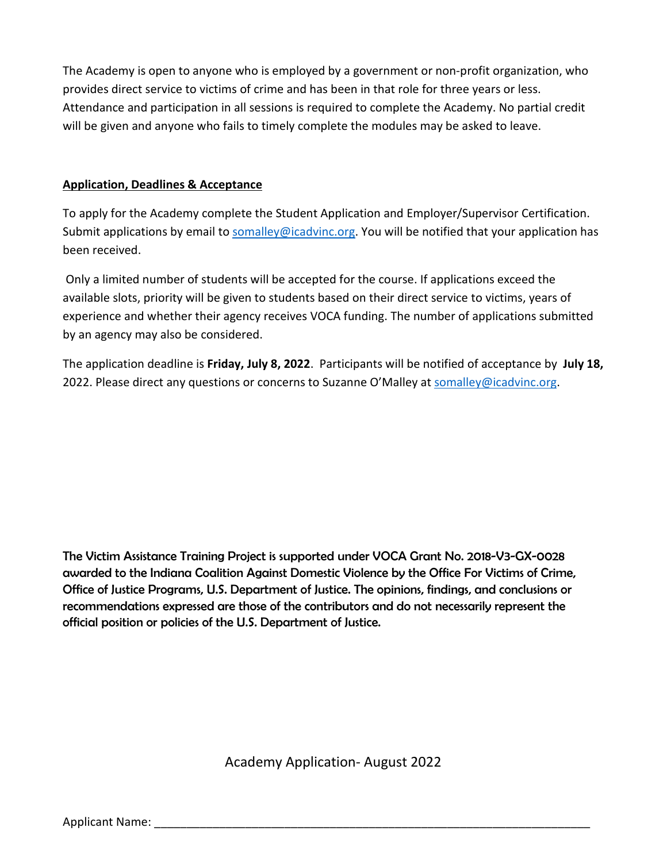The Academy is open to anyone who is employed by a government or non-profit organization, who provides direct service to victims of crime and has been in that role for three years or less. Attendance and participation in all sessions is required to complete the Academy. No partial credit will be given and anyone who fails to timely complete the modules may be asked to leave.

# **Application, Deadlines & Acceptance**

To apply for the Academy complete the Student Application and Employer/Supervisor Certification. Submit applications by email to [somalley@icadvinc.org.](mailto:somalley@icadvinc.org) You will be notified that your application has been received.

Only a limited number of students will be accepted for the course. If applications exceed the available slots, priority will be given to students based on their direct service to victims, years of experience and whether their agency receives VOCA funding. The number of applications submitted by an agency may also be considered.

The application deadline is **Friday, July 8, 2022**. Participants will be notified of acceptance by **July 18,** 2022. Please direct any questions or concerns to Suzanne O'Malley a[t somalley@icadvinc.org.](mailto:somalley@icadvinc.org)

The Victim Assistance Training Project is supported under VOCA Grant No. 2018-V3-GX-0028 awarded to the Indiana Coalition Against Domestic Violence by the Office For Victims of Crime, Office of Justice Programs, U.S. Department of Justice. The opinions, findings, and conclusions or recommendations expressed are those of the contributors and do not necessarily represent the official position or policies of the U.S. Department of Justice.

Academy Application- August 2022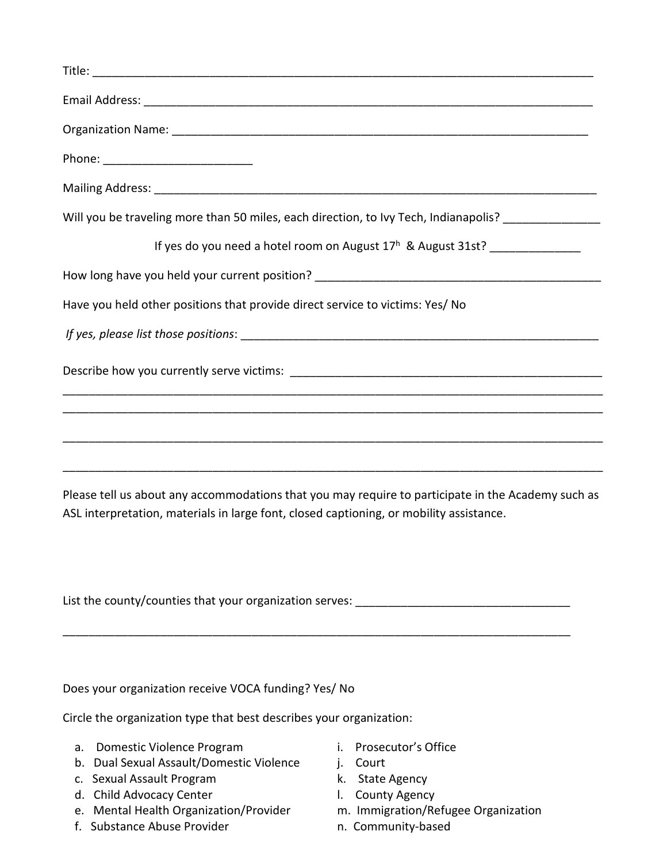| Phone: ____________________________                                                                                                                                                           |
|-----------------------------------------------------------------------------------------------------------------------------------------------------------------------------------------------|
|                                                                                                                                                                                               |
| Will you be traveling more than 50 miles, each direction, to Ivy Tech, Indianapolis? ______________                                                                                           |
| If yes do you need a hotel room on August 17 <sup>h</sup> & August 31st? ________________                                                                                                     |
|                                                                                                                                                                                               |
| Have you held other positions that provide direct service to victims: Yes/ No                                                                                                                 |
|                                                                                                                                                                                               |
|                                                                                                                                                                                               |
|                                                                                                                                                                                               |
| Please tell us about any accommodations that you may require to participate in the Academy such as<br>ASL interpretation, materials in large font, closed captioning, or mobility assistance. |
|                                                                                                                                                                                               |
| Does your organization receive VOCA funding? Yes/ No                                                                                                                                          |

Circle the organization type that best describes your organization:

- a. Domestic Violence Program **i.** Prosecutor's Office
- b. Dual Sexual Assault/Domestic Violence j. Court
- c. Sexual Assault Program K. State Agency
- 
- d. Child Advocacy Center **interpretent controls** and County Agency e. Mental Health Organization/Provider **interpretent controls** e. Mental Health Organization/Provider **interpretent controls** e. e. Mental Health Organization/Provider
- f. Substance Abuse Provider **n. Community-based**
- 
- 
- 
- 
- -